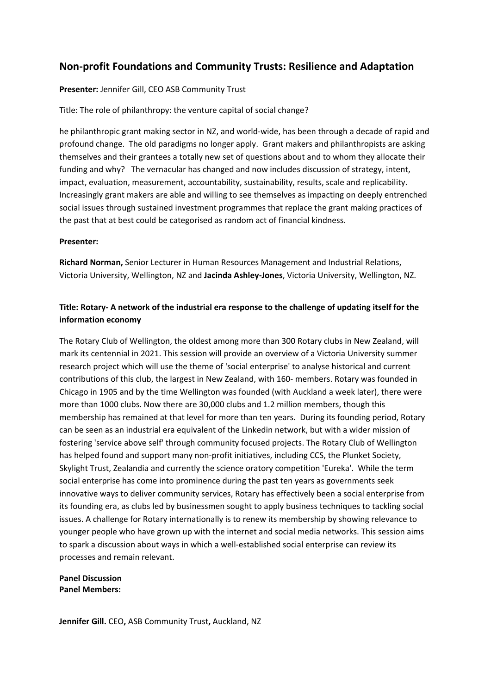## **Non‐profit Foundations and Community Trusts: Resilience and Adaptation**

## **Presenter:** Jennifer Gill, CEO ASB Community Trust

Title: The role of philanthropy: the venture capital of social change?

he philanthropic grant making sector in NZ, and world-wide, has been through a decade of rapid and profound change. The old paradigms no longer apply. Grant makers and philanthropists are asking themselves and their grantees a totally new set of questions about and to whom they allocate their funding and why? The vernacular has changed and now includes discussion of strategy, intent, impact, evaluation, measurement, accountability, sustainability, results, scale and replicability. Increasingly grant makers are able and willing to see themselves as impacting on deeply entrenched social issues through sustained investment programmes that replace the grant making practices of the past that at best could be categorised as random act of financial kindness.

## **Presenter:**

**Richard Norman,** Senior Lecturer in Human Resources Management and Industrial Relations, Victoria University, Wellington, NZ and **Jacinda Ashley‐Jones**, Victoria University, Wellington, NZ.

## Title: Rotary-A network of the industrial era response to the challenge of updating itself for the **information economy**

The Rotary Club of Wellington, the oldest among more than 300 Rotary clubs in New Zealand, will mark its centennial in 2021. This session will provide an overview of a Victoria University summer research project which will use the theme of 'social enterprise' to analyse historical and current contributions of this club, the largest in New Zealand, with 160- members. Rotary was founded in Chicago in 1905 and by the time Wellington was founded (with Auckland a week later), there were more than 1000 clubs. Now there are 30,000 clubs and 1.2 million members, though this membership has remained at that level for more than ten years. During its founding period, Rotary can be seen as an industrial era equivalent of the Linkedin network, but with a wider mission of fostering 'service above self' through community focused projects. The Rotary Club of Wellington has helped found and support many non-profit initiatives, including CCS, the Plunket Society, Skylight Trust, Zealandia and currently the science oratory competition 'Eureka'. While the term social enterprise has come into prominence during the past ten years as governments seek innovative ways to deliver community services, Rotary has effectively been a social enterprise from its founding era, as clubs led by businessmen sought to apply business techniques to tackling social issues. A challenge for Rotary internationally is to renew its membership by showing relevance to younger people who have grown up with the internet and social media networks. This session aims to spark a discussion about ways in which a well-established social enterprise can review its processes and remain relevant.

**Panel Discussion Panel Members:**

**Jennifer Gill.** CEO**,** ASB Community Trust**,** Auckland, NZ